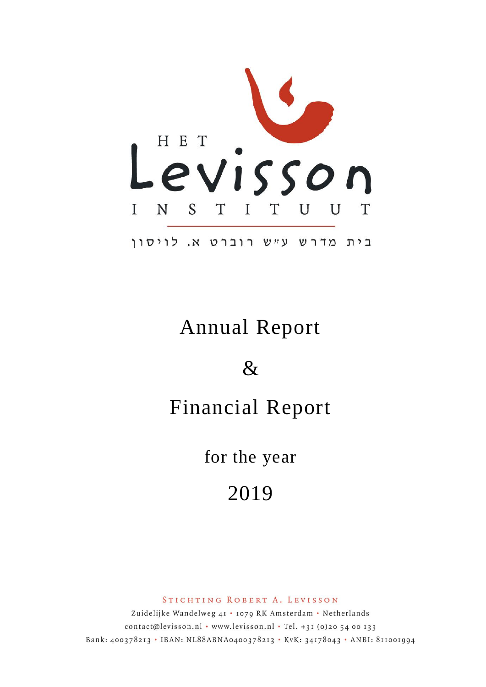

# Annual Report

 $\&$ 

# Financial Report

for the year

2019

STICHTING ROBERT A. LEVISSON

Zuidelijke Wandelweg 41 · 1079 RK Amsterdam · Netherlands contact@levisson.nl . www.levisson.nl . Tel. +31 (0)20 54 00 133 Bank: 400378213 . IBAN: NL88ABNA0400378213 . KvK: 34178043 . ANBI: 811001994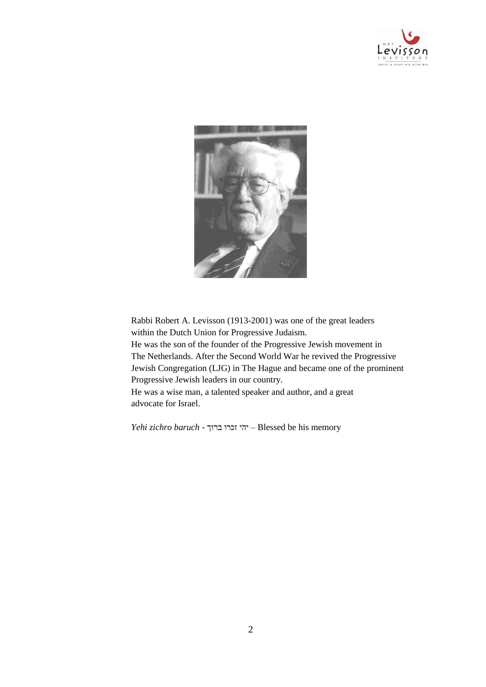



Rabbi Robert A. Levisson (1913-2001) was one of the great leaders within the Dutch Union for Progressive Judaism. He was the son of the founder of the Progressive Jewish movement in The Netherlands. After the Second World War he revived the Progressive Jewish Congregation (LJG) in The Hague and became one of the prominent

Progressive Jewish leaders in our country.

He was a wise man, a talented speaker and author, and a great advocate for Israel.

*Yehi zichro baruch* - ברוך זכרו יהי – Blessed be his memory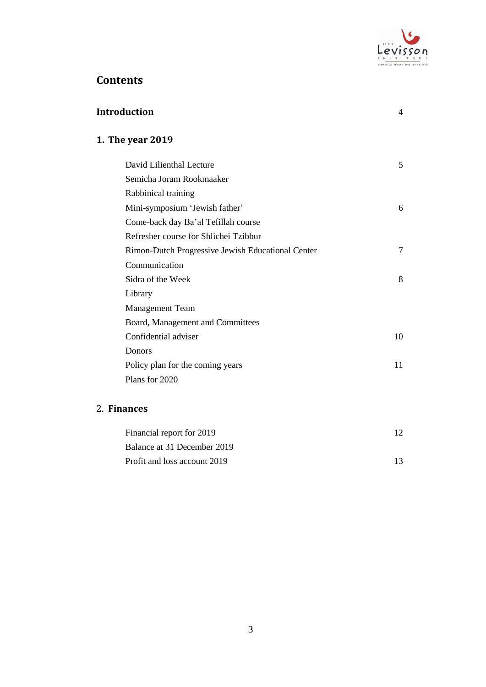

# **Contents**

| <b>Introduction</b>                               | $\overline{4}$ |
|---------------------------------------------------|----------------|
| 1. The year 2019                                  |                |
| David Lilienthal Lecture                          | 5              |
| Semicha Joram Rookmaaker                          |                |
| Rabbinical training                               |                |
| Mini-symposium 'Jewish father'                    | 6              |
| Come-back day Ba'al Tefillah course               |                |
| Refresher course for Shlichei Tzibbur             |                |
| Rimon-Dutch Progressive Jewish Educational Center | 7              |
| Communication                                     |                |
| Sidra of the Week                                 | 8              |
| Library                                           |                |
| <b>Management Team</b>                            |                |
| Board, Management and Committees                  |                |
| Confidential adviser                              | 10             |
| Donors                                            |                |
| Policy plan for the coming years                  | 11             |
| Plans for 2020                                    |                |
| 2. Finances                                       |                |
| Financial report for 2019                         | 12             |

| Financial report for 2019    |  |
|------------------------------|--|
| Balance at 31 December 2019  |  |
| Profit and loss account 2019 |  |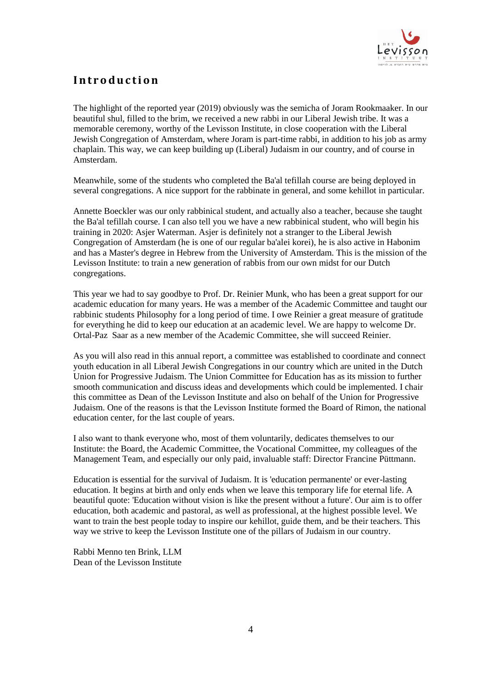

# **I n t r o d u c t i o n**

The highlight of the reported year (2019) obviously was the semicha of Joram Rookmaaker. In our beautiful shul, filled to the brim, we received a new rabbi in our Liberal Jewish tribe. It was a memorable ceremony, worthy of the Levisson Institute, in close cooperation with the Liberal Jewish Congregation of Amsterdam, where Joram is part-time rabbi, in addition to his job as army chaplain. This way, we can keep building up (Liberal) Judaism in our country, and of course in Amsterdam.

Meanwhile, some of the students who completed the Ba'al tefillah course are being deployed in several congregations. A nice support for the rabbinate in general, and some kehillot in particular.

Annette Boeckler was our only rabbinical student, and actually also a teacher, because she taught the Ba'al tefillah course. I can also tell you we have a new rabbinical student, who will begin his training in 2020: Asjer Waterman. Asjer is definitely not a stranger to the Liberal Jewish Congregation of Amsterdam (he is one of our regular ba'alei korei), he is also active in Habonim and has a Master's degree in Hebrew from the University of Amsterdam. This is the mission of the Levisson Institute: to train a new generation of rabbis from our own midst for our Dutch congregations.

This year we had to say goodbye to Prof. Dr. Reinier Munk, who has been a great support for our academic education for many years. He was a member of the Academic Committee and taught our rabbinic students Philosophy for a long period of time. I owe Reinier a great measure of gratitude for everything he did to keep our education at an academic level. We are happy to welcome Dr. Ortal-Paz Saar as a new member of the Academic Committee, she will succeed Reinier.

As you will also read in this annual report, a committee was established to coordinate and connect youth education in all Liberal Jewish Congregations in our country which are united in the Dutch Union for Progressive Judaism. The Union Committee for Education has as its mission to further smooth communication and discuss ideas and developments which could be implemented. I chair this committee as Dean of the Levisson Institute and also on behalf of the Union for Progressive Judaism. One of the reasons is that the Levisson Institute formed the Board of Rimon, the national education center, for the last couple of years.

I also want to thank everyone who, most of them voluntarily, dedicates themselves to our Institute: the Board, the Academic Committee, the Vocational Committee, my colleagues of the Management Team, and especially our only paid, invaluable staff: Director Francine Püttmann.

Education is essential for the survival of Judaism. It is 'education permanente' or ever-lasting education. It begins at birth and only ends when we leave this temporary life for eternal life. A beautiful quote: 'Education without vision is like the present without a future'. Our aim is to offer education, both academic and pastoral, as well as professional, at the highest possible level. We want to train the best people today to inspire our kehillot, guide them, and be their teachers. This way we strive to keep the Levisson Institute one of the pillars of Judaism in our country.

Rabbi Menno ten Brink, LLM Dean of the Levisson Institute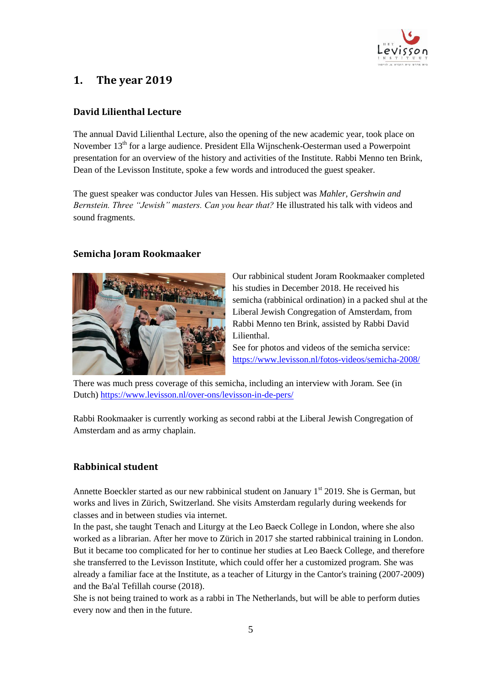

# **1. The year 2019**

# **David Lilienthal Lecture**

The annual David Lilienthal Lecture, also the opening of the new academic year, took place on November 13<sup>th</sup> for a large audience. President Ella Wijnschenk-Oesterman used a Powerpoint presentation for an overview of the history and activities of the Institute. Rabbi Menno ten Brink, Dean of the Levisson Institute, spoke a few words and introduced the guest speaker.

The guest speaker was conductor Jules van Hessen. His subject was *Mahler, Gershwin and Bernstein. Three "Jewish" masters. Can you hear that?* He illustrated his talk with videos and sound fragments.

#### **Semicha Joram Rookmaaker**



Our rabbinical student Joram Rookmaaker completed his studies in December 2018. He received his semicha (rabbinical ordination) in a packed shul at the Liberal Jewish Congregation of Amsterdam, from Rabbi Menno ten Brink, assisted by Rabbi David Lilienthal.

See for photos and videos of the semicha service: <https://www.levisson.nl/fotos-videos/semicha-2008/>

There was much press coverage of this semicha, including an interview with Joram. See (in Dutch)<https://www.levisson.nl/over-ons/levisson-in-de-pers/>

Rabbi Rookmaaker is currently working as second rabbi at the Liberal Jewish Congregation of Amsterdam and as army chaplain.

# **Rabbinical student**

Annette Boeckler started as our new rabbinical student on January 1<sup>st</sup> 2019. She is German, but works and lives in Zürich, Switzerland. She visits Amsterdam regularly during weekends for classes and in between studies via internet.

In the past, she taught Tenach and Liturgy at the Leo Baeck College in London, where she also worked as a librarian. After her move to Zürich in 2017 she started rabbinical training in London. But it became too complicated for her to continue her studies at Leo Baeck College, and therefore she transferred to the Levisson Institute, which could offer her a customized program. She was already a familiar face at the Institute, as a teacher of Liturgy in the Cantor's training (2007-2009) and the Ba'al Tefillah course (2018).

She is not being trained to work as a rabbi in The Netherlands, but will be able to perform duties every now and then in the future.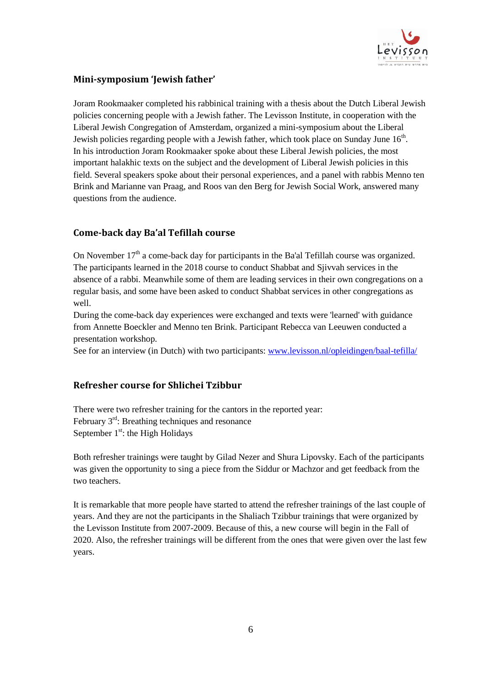

# **Mini-symposium 'Jewish father'**

Joram Rookmaaker completed his rabbinical training with a thesis about the Dutch Liberal Jewish policies concerning people with a Jewish father. The Levisson Institute, in cooperation with the Liberal Jewish Congregation of Amsterdam, organized a mini-symposium about the Liberal Jewish policies regarding people with a Jewish father, which took place on Sunday June  $16<sup>th</sup>$ . In his introduction Joram Rookmaaker spoke about these Liberal Jewish policies, the most important halakhic texts on the subject and the development of Liberal Jewish policies in this field. Several speakers spoke about their personal experiences, and a panel with rabbis Menno ten Brink and Marianne van Praag, and Roos van den Berg for Jewish Social Work, answered many questions from the audience.

### **Come-back day Ba'al Tefillah course**

On November  $17<sup>th</sup>$  a come-back day for participants in the Ba'al Tefillah course was organized. The participants learned in the 2018 course to conduct Shabbat and Sjivvah services in the absence of a rabbi. Meanwhile some of them are leading services in their own congregations on a regular basis, and some have been asked to conduct Shabbat services in other congregations as well.

During the come-back day experiences were exchanged and texts were 'learned' with guidance from Annette Boeckler and Menno ten Brink. Participant Rebecca van Leeuwen conducted a presentation workshop.

See for an interview (in Dutch) with two participants: [www.levisson.nl/opleidingen/baal-tefilla/](http://www.levisson.nl/opleidingen/baal-tefilla/)

#### **Refresher course for Shlichei Tzibbur**

There were two refresher training for the cantors in the reported year: February 3rd: Breathing techniques and resonance September  $1<sup>st</sup>$ : the High Holidays

Both refresher trainings were taught by Gilad Nezer and Shura Lipovsky. Each of the participants was given the opportunity to sing a piece from the Siddur or Machzor and get feedback from the two teachers.

It is remarkable that more people have started to attend the refresher trainings of the last couple of years. And they are not the participants in the Shaliach Tzibbur trainings that were organized by the Levisson Institute from 2007-2009. Because of this, a new course will begin in the Fall of 2020. Also, the refresher trainings will be different from the ones that were given over the last few years.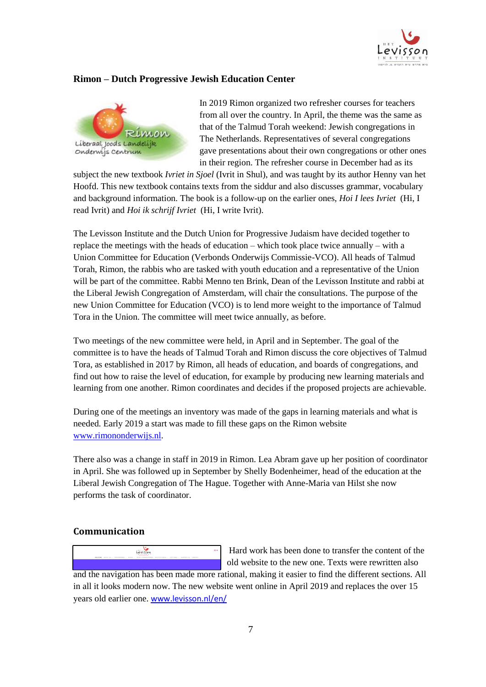

#### **Rimon – Dutch Progressive Jewish Education Center**



In 2019 Rimon organized two refresher courses for teachers from all over the country. In April, the theme was the same as that of the Talmud Torah weekend: Jewish congregations in The Netherlands. Representatives of several congregations gave presentations about their own congregations or other ones in their region. The refresher course in December had as its

subject the new textbook *Ivriet in Sjoel* (Ivrit in Shul), and was taught by its author Henny van het Hoofd. This new textbook contains texts from the siddur and also discusses grammar, vocabulary and background information. The book is a follow-up on the earlier ones, *Hoi I lees Ivriet* (Hi, I read Ivrit) and *Hoi ik schrijf Ivriet* (Hi, I write Ivrit).

The Levisson Institute and the Dutch Union for Progressive Judaism have decided together to replace the meetings with the heads of education – which took place twice annually – with a Union Committee for Education (Verbonds Onderwijs Commissie-VCO). All heads of Talmud Torah, Rimon, the rabbis who are tasked with youth education and a representative of the Union will be part of the committee. Rabbi Menno ten Brink, Dean of the Levisson Institute and rabbi at the Liberal Jewish Congregation of Amsterdam, will chair the consultations. The purpose of the new Union Committee for Education (VCO) is to lend more weight to the importance of Talmud Tora in the Union. The committee will meet twice annually, as before.

Two meetings of the new committee were held, in April and in September. The goal of the committee is to have the heads of Talmud Torah and Rimon discuss the core objectives of Talmud Tora, as established in 2017 by Rimon, all heads of education, and boards of congregations, and find out how to raise the level of education, for example by producing new learning materials and learning from one another. Rimon coordinates and decides if the proposed projects are achievable.

During one of the meetings an inventory was made of the gaps in learning materials and what is needed. Early 2019 a start was made to fill these gaps on the Rimon website [www.rimononderwijs.nl.](http://www.rimononderwijs.nl/)

There also was a change in staff in 2019 in Rimon. Lea Abram gave up her position of coordinator in April. She was followed up in September by Shelly Bodenheimer, head of the education at the Liberal Jewish Congregation of The Hague. Together with Anne-Maria van Hilst she now performs the task of coordinator.

#### **Communication**



Hard work has been done to transfer the content of the old website to the new one. Texts were rewritten also and the navigation has been made more rational, making it easier to find the different sections. All in all it looks modern now. The new website went online in April 2019 and replaces the over 15 years old earlier one. [www.levisson.nl/en/](http://www.levisson.nl/en/)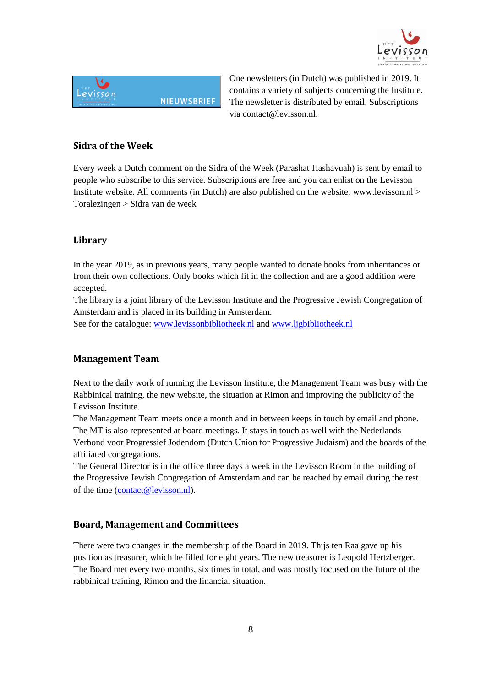



One newsletters (in Dutch) was published in 2019. It contains a variety of subjects concerning the Institute. The newsletter is distributed by email. Subscriptions via contact@levisson.nl.

#### **Sidra of the Week**

Every week a Dutch comment on the Sidra of the Week (Parashat Hashavuah) is sent by email to people who subscribe to this service. Subscriptions are free and you can enlist on the Levisson Institute website. All comments (in Dutch) are also published on the website: www.levisson.nl > Toralezingen > Sidra van de week

#### **Library**

In the year 2019, as in previous years, many people wanted to donate books from inheritances or from their own collections. Only books which fit in the collection and are a good addition were accepted.

The library is a joint library of the Levisson Institute and the Progressive Jewish Congregation of Amsterdam and is placed in its building in Amsterdam.

See for the catalogue: [www.levissonbibliotheek.nl](http://www.levissonbibliotheek.nl/) and [www.ljgbibliotheek.nl](http://www.ljgbibliotheek.nl/)

#### **Management Team**

Next to the daily work of running the Levisson Institute, the Management Team was busy with the Rabbinical training, the new website, the situation at Rimon and improving the publicity of the Levisson Institute.

The Management Team meets once a month and in between keeps in touch by email and phone. The MT is also represented at board meetings. It stays in touch as well with the Nederlands Verbond voor Progressief Jodendom (Dutch Union for Progressive Judaism) and the boards of the affiliated congregations.

The General Director is in the office three days a week in the Levisson Room in the building of the Progressive Jewish Congregation of Amsterdam and can be reached by email during the rest of the time [\(contact@levisson.nl\)](mailto:contact@levisson.nl).

#### **Board, Management and Committees**

There were two changes in the membership of the Board in 2019. Thijs ten Raa gave up his position as treasurer, which he filled for eight years. The new treasurer is Leopold Hertzberger. The Board met every two months, six times in total, and was mostly focused on the future of the rabbinical training, Rimon and the financial situation.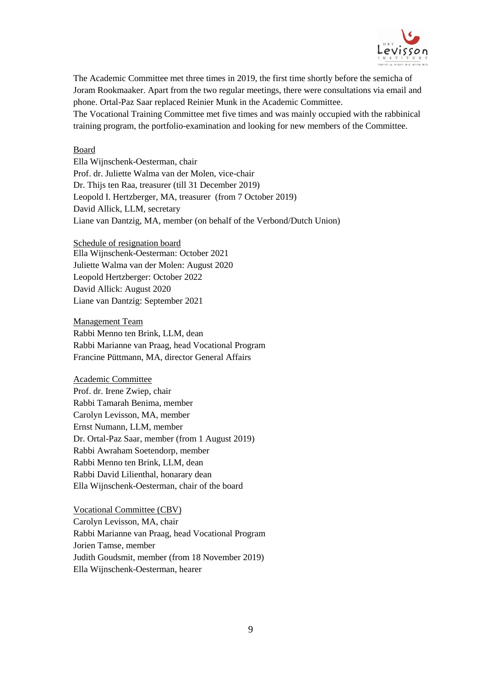

The Academic Committee met three times in 2019, the first time shortly before the semicha of Joram Rookmaaker. Apart from the two regular meetings, there were consultations via email and phone. Ortal-Paz Saar replaced Reinier Munk in the Academic Committee.

The Vocational Training Committee met five times and was mainly occupied with the rabbinical training program, the portfolio-examination and looking for new members of the Committee.

#### Board

Ella Wijnschenk-Oesterman, chair Prof. dr. Juliette Walma van der Molen, vice-chair Dr. Thijs ten Raa, treasurer (till 31 December 2019) Leopold I. Hertzberger, MA, treasurer (from 7 October 2019) David Allick, LLM, secretary Liane van Dantzig, MA, member (on behalf of the Verbond/Dutch Union)

Schedule of resignation board Ella Wijnschenk-Oesterman: October 2021 Juliette Walma van der Molen: August 2020 Leopold Hertzberger: October 2022 David Allick: August 2020 Liane van Dantzig: September 2021

Management Team Rabbi Menno ten Brink, LLM, dean Rabbi Marianne van Praag, head Vocational Program Francine Püttmann, MA, director General Affairs

Academic Committee Prof. dr. Irene Zwiep, chair Rabbi Tamarah Benima, member Carolyn Levisson, MA, member Ernst Numann, LLM, member Dr. Ortal-Paz Saar, member (from 1 August 2019) Rabbi Awraham Soetendorp, member Rabbi Menno ten Brink, LLM, dean Rabbi David Lilienthal, honarary dean Ella Wijnschenk-Oesterman, chair of the board

Vocational Committee (CBV) Carolyn Levisson, MA, chair Rabbi Marianne van Praag, head Vocational Program Jorien Tamse, member Judith Goudsmit, member (from 18 November 2019) Ella Wijnschenk-Oesterman, hearer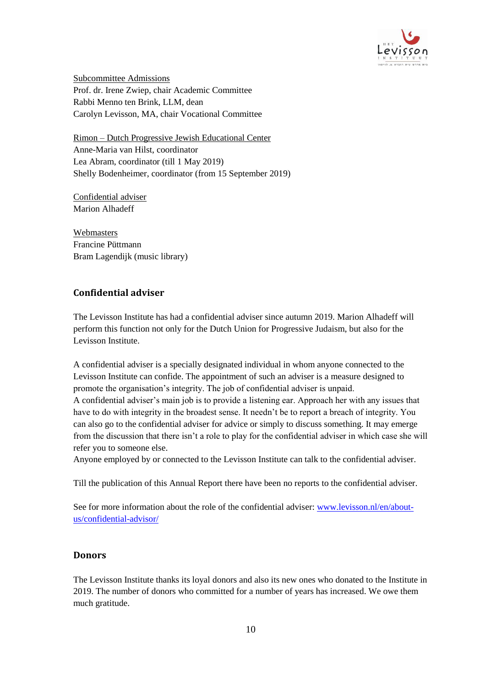

Subcommittee Admissions Prof. dr. Irene Zwiep, chair Academic Committee Rabbi Menno ten Brink, LLM, dean Carolyn Levisson, MA, chair Vocational Committee

Rimon – Dutch Progressive Jewish Educational Center Anne-Maria van Hilst, coordinator Lea Abram, coordinator (till 1 May 2019) Shelly Bodenheimer, coordinator (from 15 September 2019)

Confidential adviser Marion Alhadeff

Webmasters Francine Püttmann Bram Lagendijk (music library)

# **Confidential adviser**

The Levisson Institute has had a confidential adviser since autumn 2019. Marion Alhadeff will perform this function not only for the Dutch Union for Progressive Judaism, but also for the Levisson Institute.

A confidential adviser is a specially designated individual in whom anyone connected to the Levisson Institute can confide. The appointment of such an adviser is a measure designed to promote the organisation's integrity. The job of confidential adviser is unpaid. A confidential adviser's main job is to provide a listening ear. Approach her with any issues that have to do with integrity in the broadest sense. It needn't be to report a breach of integrity. You can also go to the confidential adviser for advice or simply to discuss something. It may emerge from the discussion that there isn't a role to play for the confidential adviser in which case she will refer you to someone else.

Anyone employed by or connected to the Levisson Institute can talk to the confidential adviser.

Till the publication of this Annual Report there have been no reports to the confidential adviser.

See for more information about the role of the confidential adviser: [www.levisson.nl/en/about](http://www.levisson.nl/en/about-us/confidential-advisor/)[us/confidential-advisor/](http://www.levisson.nl/en/about-us/confidential-advisor/)

#### **Donors**

The Levisson Institute thanks its loyal donors and also its new ones who donated to the Institute in 2019. The number of donors who committed for a number of years has increased. We owe them much gratitude.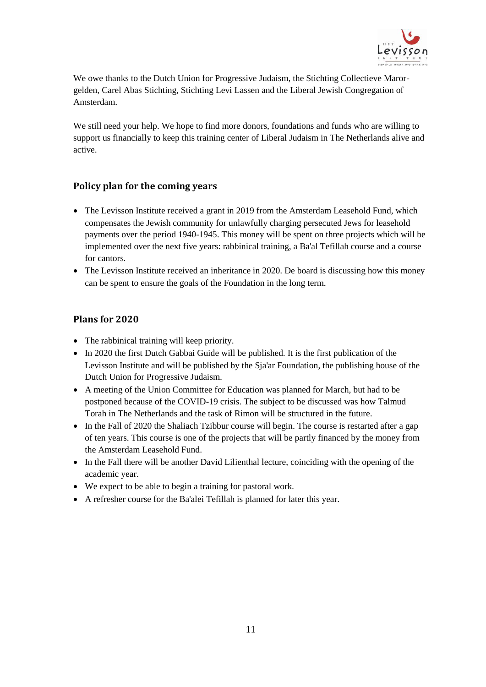

We owe thanks to the Dutch Union for Progressive Judaism, the Stichting Collectieve Marorgelden, Carel Abas Stichting, Stichting Levi Lassen and the Liberal Jewish Congregation of Amsterdam.

We still need your help. We hope to find more donors, foundations and funds who are willing to support us financially to keep this training center of Liberal Judaism in The Netherlands alive and active.

# **Policy plan for the coming years**

- The Levisson Institute received a grant in 2019 from the Amsterdam Leasehold Fund, which compensates the Jewish community for unlawfully charging persecuted Jews for leasehold payments over the period 1940-1945. This money will be spent on three projects which will be implemented over the next five years: rabbinical training, a Ba'al Tefillah course and a course for cantors.
- The Levisson Institute received an inheritance in 2020. De board is discussing how this money can be spent to ensure the goals of the Foundation in the long term.

### **Plans for 2020**

- The rabbinical training will keep priority.
- In 2020 the first Dutch Gabbai Guide will be published. It is the first publication of the Levisson Institute and will be published by the Sja'ar Foundation, the publishing house of the Dutch Union for Progressive Judaism.
- A meeting of the Union Committee for Education was planned for March, but had to be postponed because of the COVID-19 crisis. The subject to be discussed was how Talmud Torah in The Netherlands and the task of Rimon will be structured in the future.
- In the Fall of 2020 the Shaliach Tzibbur course will begin. The course is restarted after a gap of ten years. This course is one of the projects that will be partly financed by the money from the Amsterdam Leasehold Fund.
- In the Fall there will be another David Lilienthal lecture, coinciding with the opening of the academic year.
- We expect to be able to begin a training for pastoral work.
- A refresher course for the Ba'alei Tefillah is planned for later this year.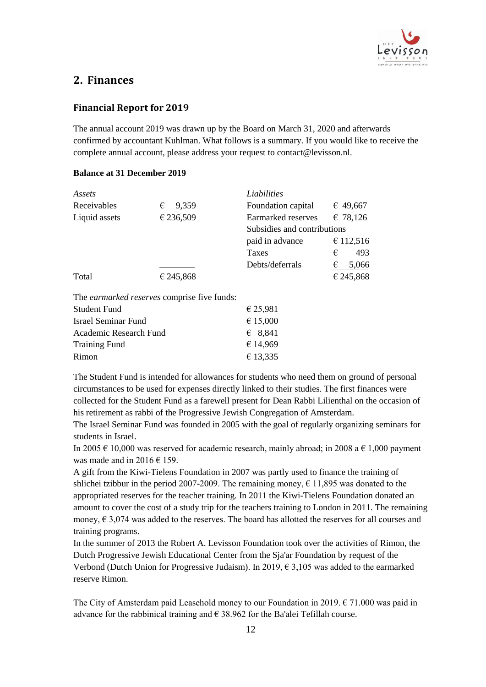

# **2. Finances**

#### **Financial Report for 2019**

The annual account 2019 was drawn up by the Board on March 31, 2020 and afterwards confirmed by accountant Kuhlman. What follows is a summary. If you would like to receive the complete annual account, please address your request to contact@levisson.nl.

#### **Balance at 31 December 2019**

| Assets                     |                                             | Liabilities                 |            |
|----------------------------|---------------------------------------------|-----------------------------|------------|
| Receivables                | 9,359<br>€                                  | Foundation capital          | € 49,667   |
| Liquid assets              | € 236,509                                   | Earmarked reserves          | € 78,126   |
|                            |                                             | Subsidies and contributions |            |
|                            |                                             | paid in advance             | € 112,516  |
|                            |                                             | Taxes                       | €<br>493   |
|                            |                                             | Debts/deferrals             | 5,066<br>€ |
| Total                      | € 245,868                                   |                             | € 245,868  |
|                            | The earmarked reserves comprise five funds: |                             |            |
| Student Fund               |                                             | € 25,981                    |            |
| <b>Israel Seminar Fund</b> |                                             | € 15,000                    |            |
| Academic Research Fund     |                                             | € 8,841                     |            |
| <b>Training Fund</b>       |                                             | € 14,969                    |            |
| Rimon                      |                                             | € 13,335                    |            |

The Student Fund is intended for allowances for students who need them on ground of personal circumstances to be used for expenses directly linked to their studies. The first finances were collected for the Student Fund as a farewell present for Dean Rabbi Lilienthal on the occasion of his retirement as rabbi of the Progressive Jewish Congregation of Amsterdam.

The Israel Seminar Fund was founded in 2005 with the goal of regularly organizing seminars for students in Israel.

In 2005  $\epsilon$  10,000 was reserved for academic research, mainly abroad; in 2008 a  $\epsilon$  1,000 payment was made and in 2016  $\in$  159.

A gift from the Kiwi-Tielens Foundation in 2007 was partly used to finance the training of shlichei tzibbur in the period 2007-2009. The remaining money,  $\epsilon$  11,895 was donated to the appropriated reserves for the teacher training. In 2011 the Kiwi-Tielens Foundation donated an amount to cover the cost of a study trip for the teachers training to London in 2011. The remaining money,  $\epsilon$  3,074 was added to the reserves. The board has allotted the reserves for all courses and training programs.

In the summer of 2013 the Robert A. Levisson Foundation took over the activities of Rimon, the Dutch Progressive Jewish Educational Center from the Sja'ar Foundation by request of the Verbond (Dutch Union for Progressive Judaism). In 2019,  $\epsilon$  3,105 was added to the earmarked reserve Rimon.

The City of Amsterdam paid Leasehold money to our Foundation in 2019.  $\epsilon$  71.000 was paid in advance for the rabbinical training and  $\epsilon$  38.962 for the Ba'alei Tefillah course.